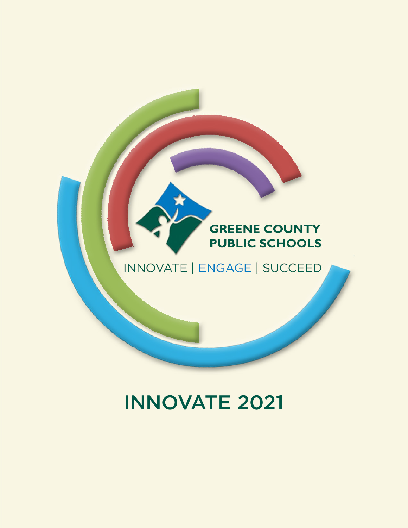### **GREENE COUNTY PUBLIC SCHOOLS**

# INNOVATE | ENGAGE | SUCCEED

# INNOVATE 2021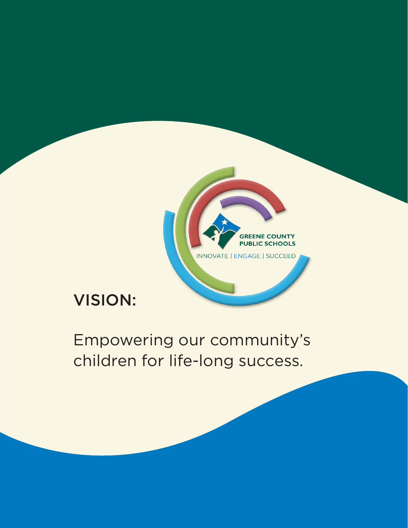

# VISION:

Empowering our community's children for life-long success.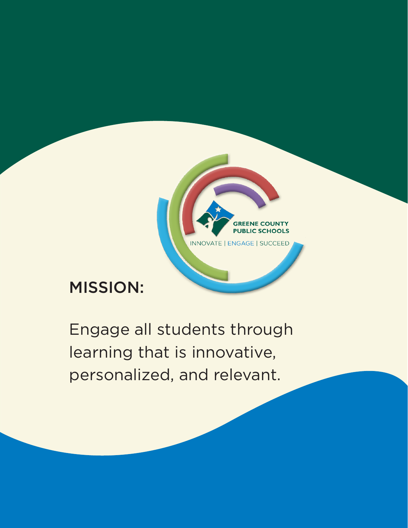

# MISSION:

Engage all students through learning that is innovative, personalized, and relevant.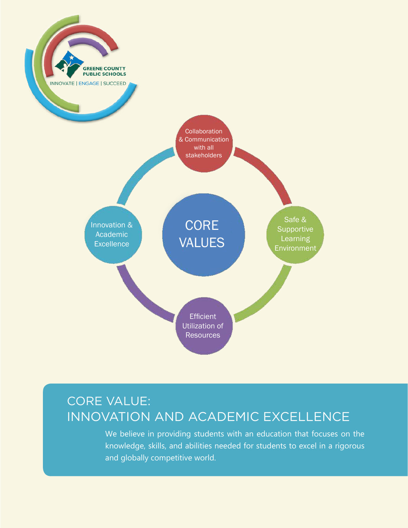

#### CORE VALUE: INNOVATION AND ACADEMIC EXCELLENCE

We believe in providing students with an education that focuses on the knowledge, skills, and abilities needed for students to excel in a rigorous and globally competitive world.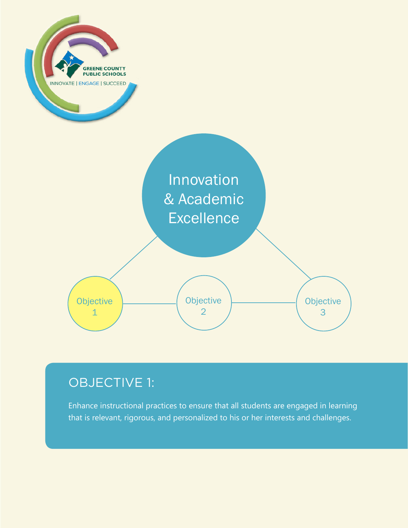

## OBJECTIVE 1:

Enhance instructional practices to ensure that all students are engaged in learning that is relevant, rigorous, and personalized to his or her interests and challenges.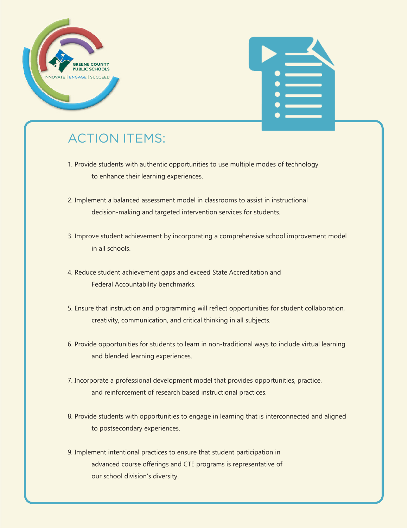



- 1. Provide students with authentic opportunities to use multiple modes of technology to enhance their learning experiences.
- 2. Implement a balanced assessment model in classrooms to assist in instructional decision-making and targeted intervention services for students.
- 3. Improve student achievement by incorporating a comprehensive school improvement model in all schools.
- 4. Reduce student achievement gaps and exceed State Accreditation and Federal Accountability benchmarks.
- 5. Ensure that instruction and programming will reflect opportunities for student collaboration, creativity, communication, and critical thinking in all subjects.
- 6. Provide opportunities for students to learn in non-traditional ways to include virtual learning and blended learning experiences.
- 7. Incorporate a professional development model that provides opportunities, practice, and reinforcement of research based instructional practices.
- 8. Provide students with opportunities to engage in learning that is interconnected and aligned to postsecondary experiences.
- 9. Implement intentional practices to ensure that student participation in advanced course offerings and CTE programs is representative of our school division's diversity.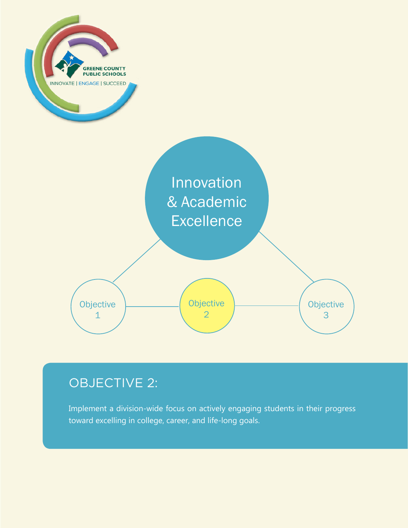

## OBJECTIVE 2:

Implement a division-wide focus on actively engaging students in their progress toward excelling in college, career, and life-long goals.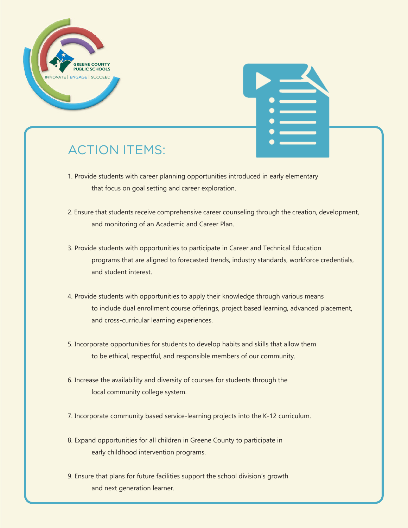



- 1. Provide students with career planning opportunities introduced in early elementary that focus on goal setting and career exploration.
- 2. Ensure that students receive comprehensive career counseling through the creation, development, and monitoring of an Academic and Career Plan.
- 3. Provide students with opportunities to participate in Career and Technical Education programs that are aligned to forecasted trends, industry standards, workforce credentials, and student interest.
- 4. Provide students with opportunities to apply their knowledge through various means to include dual enrollment course offerings, project based learning, advanced placement, and cross-curricular learning experiences.
- 5. Incorporate opportunities for students to develop habits and skills that allow them to be ethical, respectful, and responsible members of our community.
- 6. Increase the availability and diversity of courses for students through the local community college system.
- 7. Incorporate community based service-learning projects into the K-12 curriculum.
- 8. Expand opportunities for all children in Greene County to participate in early childhood intervention programs.
- 9. Ensure that plans for future facilities support the school division's growth and next generation learner.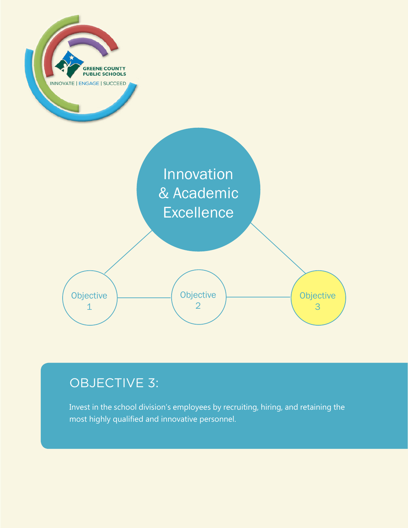

## OBJECTIVE 3:

Invest in the school division's employees by recruiting, hiring, and retaining the most highly qualified and innovative personnel.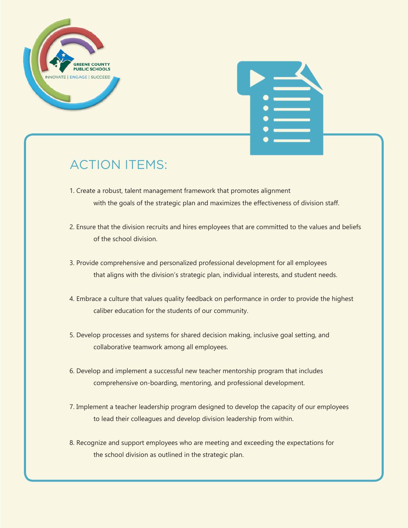



- 1. Create a robust, talent management framework that promotes alignment with the goals of the strategic plan and maximizes the effectiveness of division staff.
- 2. Ensure that the division recruits and hires employees that are committed to the values and beliefs of the school division.
- 3. Provide comprehensive and personalized professional development for all employees that aligns with the division's strategic plan, individual interests, and student needs.
- 4. Embrace a culture that values quality feedback on performance in order to provide the highest caliber education for the students of our community.
- 5. Develop processes and systems for shared decision making, inclusive goal setting, and collaborative teamwork among all employees.
- 6. Develop and implement a successful new teacher mentorship program that includes comprehensive on-boarding, mentoring, and professional development.
- 7. Implement a teacher leadership program designed to develop the capacity of our employees to lead their colleagues and develop division leadership from within.
- 8. Recognize and support employees who are meeting and exceeding the expectations for the school division as outlined in the strategic plan.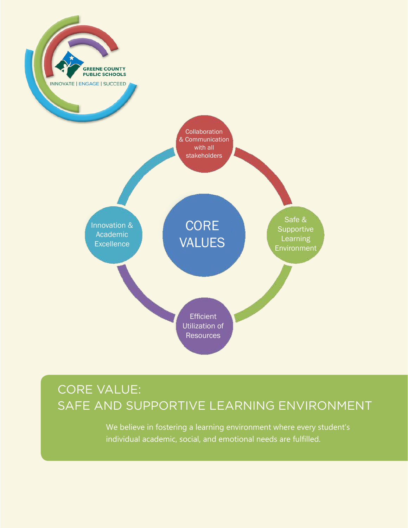

## CORE VALUE: SAFE AND SUPPORTIVE LEARNING ENVIRONMENT

We believe in fostering a learning environment where every student's individual academic, social, and emotional needs are fulfilled.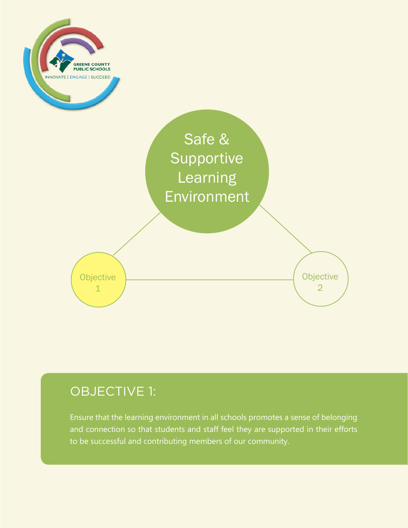

## OBJECTIVE 1:

Ensure that the learning environment in all schools promotes a sense of belonging and connection so that students and staff feel they are supported in their efforts to be successful and contributing members of our community.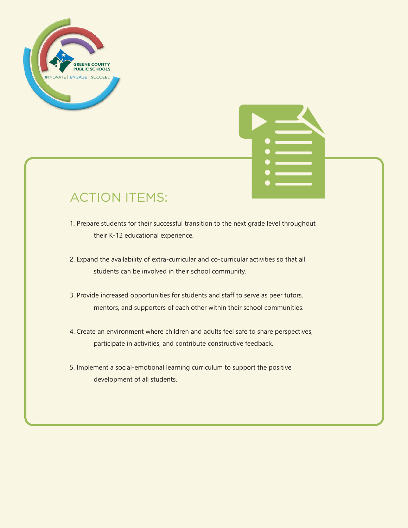



- 1. Prepare students for their successful transition to the next grade level throughout their K-12 educational experience.
- 2. Expand the availability of extra-curricular and co-curricular activities so that all students can be involved in their school community.
- 3. Provide increased opportunities for students and staff to serve as peer tutors, mentors, and supporters of each other within their school communities.
- 4. Create an environment where children and adults feel safe to share perspectives, participate in activities, and contribute constructive feedback.
- 5. Implement a social-emotional learning curriculum to support the positive development of all students.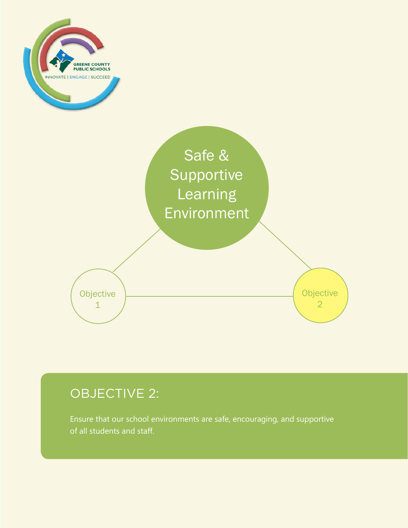



# OBJECTIVE 2:

Ensure that our school environments are safe, encouraging, and supportive of all students and staff.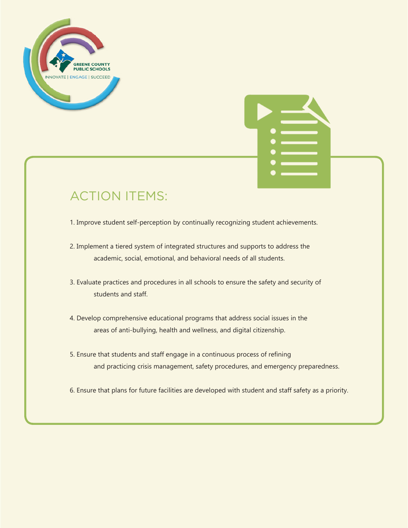



1. Improve student self-perception by continually recognizing student achievements.

2. Implement a tiered system of integrated structures and supports to address the academic, social, emotional, and behavioral needs of all students.

3. Evaluate practices and procedures in all schools to ensure the safety and security of students and staff.

4. Develop comprehensive educational programs that address social issues in the areas of anti-bullying, health and wellness, and digital citizenship.

5. Ensure that students and staff engage in a continuous process of refining and practicing crisis management, safety procedures, and emergency preparedness.

6. Ensure that plans for future facilities are developed with student and staff safety as a priority.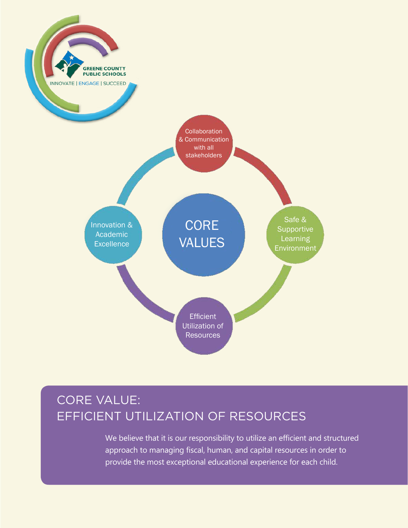

## CORE VALUE: EFFICIENT UTILIZATION OF RESOURCES

We believe that it is our responsibility to utilize an efficient and structured approach to managing fiscal, human, and capital resources in order to provide the most exceptional educational experience for each child.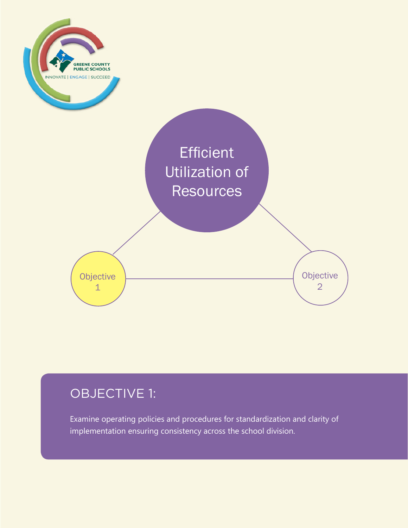

## OBJECTIVE 1:

Examine operating policies and procedures for standardization and clarity of implementation ensuring consistency across the school division.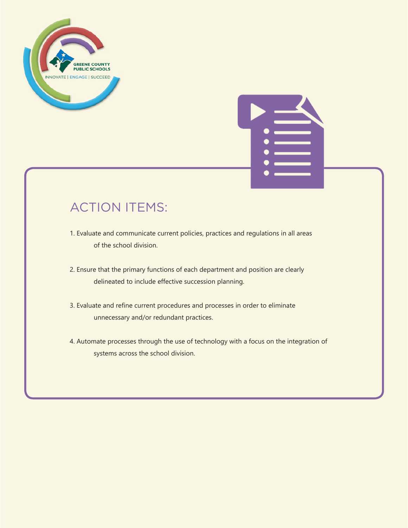



- 1. Evaluate and communicate current policies, practices and regulations in all areas of the school division.
- 2. Ensure that the primary functions of each department and position are clearly delineated to include effective succession planning.
- 3. Evaluate and refine current procedures and processes in order to eliminate unnecessary and/or redundant practices.
- 4. Automate processes through the use of technology with a focus on the integration of systems across the school division.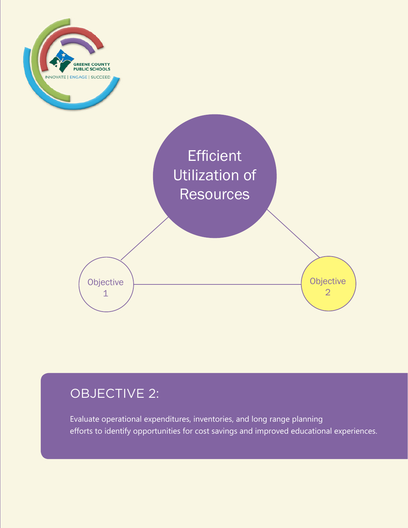

# OBJECTIVE 2:

Evaluate operational expenditures, inventories, and long range planning efforts to identify opportunities for cost savings and improved educational experiences.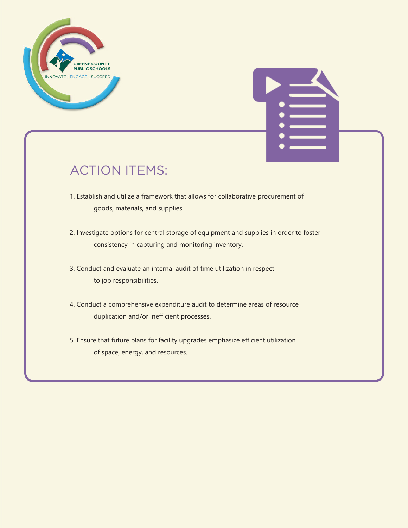



- 1. Establish and utilize a framework that allows for collaborative procurement of goods, materials, and supplies.
- 2. Investigate options for central storage of equipment and supplies in order to foster consistency in capturing and monitoring inventory.
- 3. Conduct and evaluate an internal audit of time utilization in respect to job responsibilities.
- 4. Conduct a comprehensive expenditure audit to determine areas of resource duplication and/or inefficient processes.
- 5. Ensure that future plans for facility upgrades emphasize efficient utilization of space, energy, and resources.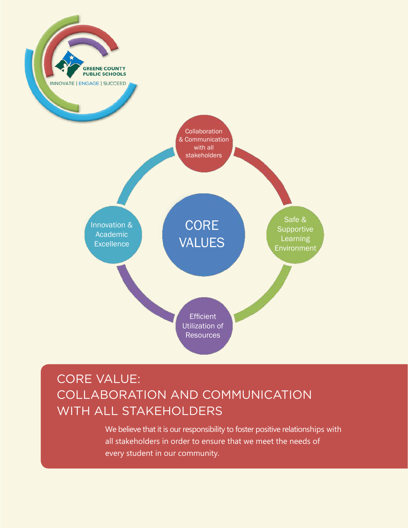

## CORE VALUE: COLLABORATION AND COMMUNICATION WITH ALL STAKEHOLDERS

We believe that it is our responsibility to foster positive relationships with all stakeholders in order to ensure that we meet the needs of every student in our community.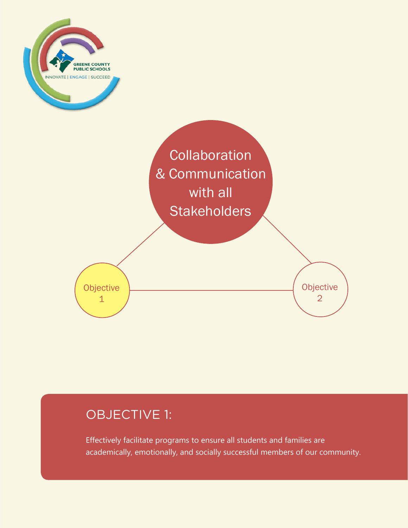



#### OBJECTIVE 1:

Effectively facilitate programs to ensure all students and families are academically, emotionally, and socially successful members of our community.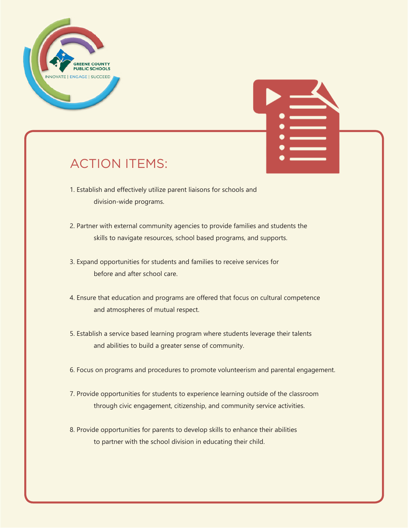



- 1. Establish and effectively utilize parent liaisons for schools and division-wide programs.
- 2. Partner with external community agencies to provide families and students the skills to navigate resources, school based programs, and supports.
- 3. Expand opportunities for students and families to receive services for before and after school care.
- 4. Ensure that education and programs are offered that focus on cultural competence and atmospheres of mutual respect.
- 5. Establish a service based learning program where students leverage their talents and abilities to build a greater sense of community.
- 6. Focus on programs and procedures to promote volunteerism and parental engagement.
- 7. Provide opportunities for students to experience learning outside of the classroom through civic engagement, citizenship, and community service activities.
- 8. Provide opportunities for parents to develop skills to enhance their abilities to partner with the school division in educating their child.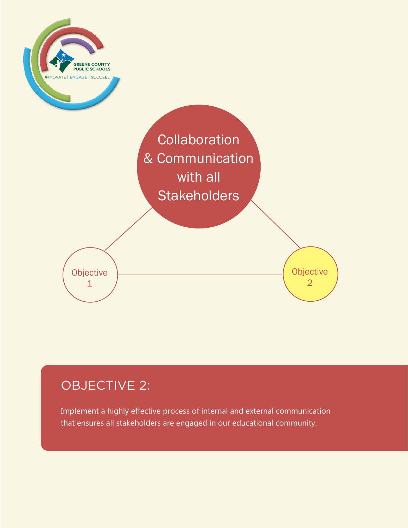

## OBJECTIVE 2:

Implement a highly effective process of internal and external communication that ensures all stakeholders are engaged in our educational community.